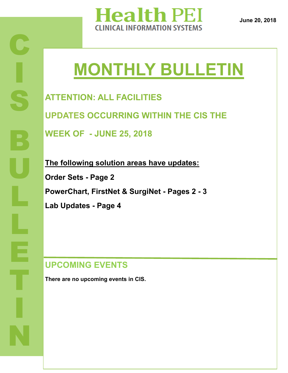

**June 20, 2018**

# **MONTHLY BULLETIN**

**ATTENTION: ALL FACILITIES UPDATES OCCURRING WITHIN THE CIS THE** 

**WEEK OF - JUNE 25, 2018**

**The following solution areas have updates: Order Sets - Page 2 PowerChart, FirstNet & SurgiNet - Pages 2 - 3 Lab Updates - Page 4**

**UPCOMING EVENTS**

**There are no upcoming events in CIS.**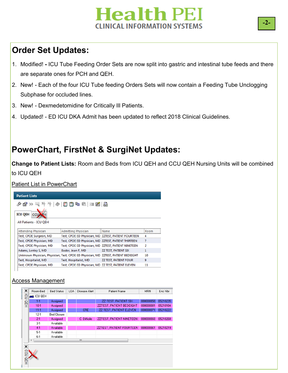# **Health PEI INICAL INFORMATION SYSTEMS**

# **Order Set Updates:**

- 1. Modified! **-** ICU Tube Feeding Order Sets are now split into gastric and intestinal tube feeds and there are separate ones for PCH and QEH.
- 2. New! Each of the four ICU Tube feeding Orders Sets will now contain a Feeding Tube Unclogging Subphase for occluded lines.
- 3. New! Dexmedetomidine for Critically Ill Patients.
- 4. Updated! ED ICU DKA Admit has been updated to reflect 2018 Clinical Guidelines.

# **PowerChart, FirstNet & SurgiNet Updates:**

**Change to Patient Lists:** Room and Beds from ICU QEH and CCU QEH Nursing Units will be combined to ICU QEH

Patient List in PowerChart



#### Access Management

| ×               | Room-Bed                 | <b>Bed Status</b>  | LOA | Disease Alert | Patient Name                    | <b>MRN</b> | Enc Nbr  |
|-----------------|--------------------------|--------------------|-----|---------------|---------------------------------|------------|----------|
| ē               | <b>DOU QEH</b>           |                    |     |               |                                 |            |          |
|                 | $1-1$                    | Assigned           |     |               | ZZ TEST, PATIENT SIX            | 888000858  | 05210235 |
| OEH             | $10-1$                   | Assigned           |     |               | <b>ZZTEST, PATIENT BEDEIGHT</b> | 888000881  | 05210184 |
|                 | $11-1$                   | Assigned           |     | <b>CRE</b>    | <b>ZZ TEST, PATIENT ELEVEN</b>  | 888000871  | 05210222 |
|                 | $12-1$                   | <b>Bed Closure</b> |     |               |                                 |            |          |
|                 | $2 - 1$                  | Assigned           |     | C. Difficile  | <b>ZZTEST, PATIENT NINETEEN</b> | 888000868  | 05210268 |
|                 | $3-1$                    | Available          |     |               |                                 |            |          |
|                 | $4 - 1$                  | Available          |     |               | <b>ZZTEST, PATIENT FOURTEEN</b> | 888000861  | 05210219 |
|                 | $5-1$                    | Available          |     |               |                                 |            |          |
|                 | $6-1$                    | Available          |     |               |                                 |            |          |
|                 | $\overline{\phantom{a}}$ |                    |     | m             |                                 |            |          |
| ×<br>ccu<br>OEH |                          |                    |     |               |                                 |            |          |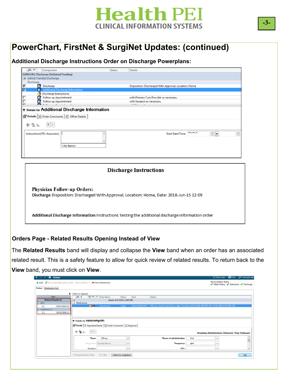

### **PowerChart, FirstNet & SurgiNet Updates: (continued)**

**Additional Discharge Instructions Order on Discharge Powerplans:**

|                | 88        | Component                                                              | <b>Status</b> | <b>Details</b>                                                                           |
|----------------|-----------|------------------------------------------------------------------------|---------------|------------------------------------------------------------------------------------------|
|                |           | <b>GENSURG Discharge (Initiated Pending)</b>                           |               |                                                                                          |
|                |           | 4 Admit/Transfer/Discharge                                             |               |                                                                                          |
|                | Discharge |                                                                        |               |                                                                                          |
| ⊽              |           | Discharge                                                              |               | Disposition: Discharged With Approval, Location: Home                                    |
| 罓              | п         | <b>Additional Discharge Information</b>                                |               |                                                                                          |
|                |           | <b>Discharge Instructions:</b>                                         |               |                                                                                          |
| □              |           | Follow up Appointment                                                  |               | with Primary Care Provider as necessary.                                                 |
| п              | 67        | <b>Follow up Appointment</b>                                           |               | with Surgeon as necessary.                                                               |
| $\blacksquare$ |           |                                                                        |               | the most control                                                                         |
|                | 十名瓦       | $   \cdot   $<br>Instructions(255 characters):  <br><no items=""></no> |               | ÷F<br>÷<br>----<br><b>Start Date/Time:</b>                                               |
|                |           |                                                                        |               | <b>Discharge Instructions</b>                                                            |
|                |           |                                                                        |               |                                                                                          |
|                |           | <b>Physician Follow-up Orders:</b>                                     |               | Discharge Disposition: Discharged With Approval, Location: Home, Date: 2018-Jun-15 12:09 |

#### **Orders Page - Related Results Opening Instead of View**

The **Related Results** band will display and collapse the **View** band when an order has an associated related result. This is a safety feature to allow for quick review of related results. To return back to the **View** band, you must click on **View**.

| A Orders<br>≺                                                               |                                 |                                                                 |                 |                                                                                                                 |      |                                                                      | [D] Full screen <b>m</b> Print 2 3 minutes ago |
|-----------------------------------------------------------------------------|---------------------------------|-----------------------------------------------------------------|-----------------|-----------------------------------------------------------------------------------------------------------------|------|----------------------------------------------------------------------|------------------------------------------------|
| + Add   Pocument Medication by Hx   Reconciliation v   A Check Interactions |                                 |                                                                 |                 |                                                                                                                 |      | <b>Reconciliation Status</b><br>Meds History V Admission V Discharge |                                                |
| <b>Orders</b> Medication List                                               |                                 |                                                                 |                 |                                                                                                                 |      |                                                                      |                                                |
| к                                                                           | <b>Orders for Signature</b>     |                                                                 |                 |                                                                                                                 |      |                                                                      |                                                |
| View                                                                        | 88                              | <b>⑦ 吗 ♡ Order Name</b>                                         | Status<br>Start | Details                                                                                                         |      |                                                                      |                                                |
| <b>Related Results (2)</b>                                                  | $\Delta$                        | Admit: 9/17/2015 3:07 PM                                        |                 |                                                                                                                 |      |                                                                      |                                                |
| $\Box$ BUN                                                                  | 4 Medications                   |                                                                 |                 |                                                                                                                 |      |                                                                      |                                                |
| 10/11/2016 12<br>11                                                         | ™                               | vancomvcin                                                      | Order           | 10/11/2016 1:00 P 250 mg, Oral, Powder-Recon, g6hr, First Dose: 10/11/2016 1:00 PM CDT, 10/11/2016 12:53 PM CDT |      |                                                                      |                                                |
| Creatinine Lvl                                                              |                                 |                                                                 |                 |                                                                                                                 |      |                                                                      |                                                |
| 1.1<br>10/11/2016 12                                                        |                                 |                                                                 |                 |                                                                                                                 |      |                                                                      |                                                |
|                                                                             |                                 |                                                                 |                 |                                                                                                                 |      |                                                                      |                                                |
|                                                                             | <b>E</b> Details for Vancomycin |                                                                 |                 |                                                                                                                 |      |                                                                      |                                                |
|                                                                             |                                 |                                                                 |                 |                                                                                                                 |      |                                                                      |                                                |
|                                                                             |                                 | Details : Ingredient Details   III Order Comments   @ Diagnoses |                 |                                                                                                                 |      |                                                                      |                                                |
|                                                                             | $  \cdot  $                     |                                                                 |                 |                                                                                                                 |      |                                                                      |                                                |
|                                                                             | $+$ 8 in $-$                    |                                                                 |                 |                                                                                                                 |      | Remaining Administrations: (Unknown) Stop: (Unknown)                 |                                                |
|                                                                             | *Dose:                          | 250 mg                                                          | $\checkmark$    | *Route of administration:                                                                                       | Oral | $\checkmark$                                                         | Î                                              |
|                                                                             |                                 | Drug Form: Powder-Recon                                         | $\checkmark$    | *Frequency:                                                                                                     | q6hr | $\checkmark$                                                         |                                                |
|                                                                             | <b>Duration:</b>                |                                                                 | $\checkmark$    | PRN:                                                                                                            |      | $\check{}$                                                           |                                                |
|                                                                             |                                 |                                                                 |                 |                                                                                                                 |      |                                                                      |                                                |
|                                                                             |                                 |                                                                 |                 |                                                                                                                 |      |                                                                      |                                                |
|                                                                             | 0 Missing Required Details      | Dx Table<br>Orders For Cosignature                              |                 |                                                                                                                 |      |                                                                      | Sign                                           |